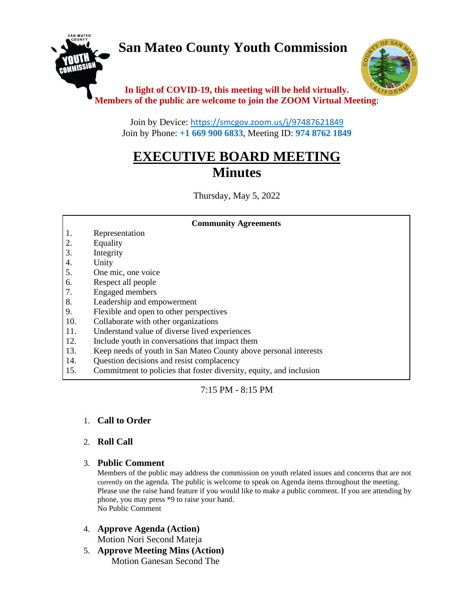# **San Mateo County Youth Commission**





## **In light of COVID-19, this meeting will be held virtually. Members of the public are welcome to join the ZOOM Virtual Meeting**:

Join by Device: <https://smcgov.zoom.us/j/97487621849> Join by Phone: **+1 669 900 6833**, Meeting ID: **974 8762 1849**

## **EXECUTIVE BOARD MEETING Minutes**

Thursday, May 5, 2022

**Community Agreements**

### 1. Representation

- 2. Equality
- 3. Integrity
- 4. Unity
- 5. One mic, one voice
- 6. Respect all people
- 7. Engaged members
- 8. Leadership and empowerment
- 9. Flexible and open to other perspectives
- 10. Collaborate with other organizations
- 11. Understand value of diverse lived experiences
- 12. Include youth in conversations that impact them
- 13. Keep needs of youth in San Mateo County above personal interests
- 14. Question decisions and resist complacency
- 15. Commitment to policies that foster diversity, equity, and inclusion

7:15 PM - 8:15 PM

## 1. **Call to Order**

#### 2. **Roll Call**

#### 3. **Public Comment**

Members of the public may address the commission on youth related issues and concerns that are not currently on the agenda. The public is welcome to speak on Agenda items throughout the meeting. Please use the raise hand feature if you would like to make a public comment. If you are attending by phone, you may press \*9 to raise your hand. No Public Comment

- 4. **Approve Agenda (Action)** Motion Nori Second Mateja
- 5. **Approve Meeting Mins (Action)** Motion Ganesan Second The